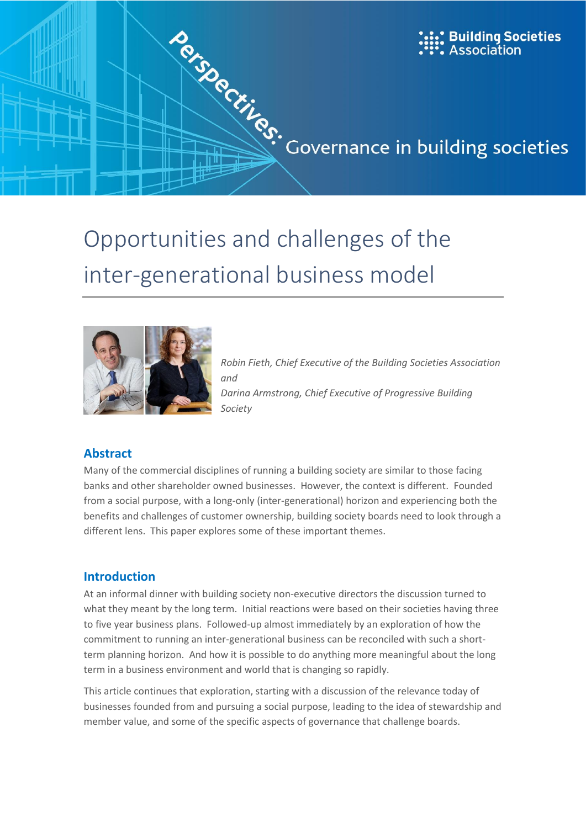

# inter-generational business model



*Robin Fieth, Chief Executive of the Building Societies Association and Darina Armstrong, Chief Executive of Progressive Building Society*

### **Abstract**

Many of the commercial disciplines of running a building society are similar to those facing banks and other shareholder owned businesses. However, the context is different. Founded from a social purpose, with a long-only (inter-generational) horizon and experiencing both the benefits and challenges of customer ownership, building society boards need to look through a different lens. This paper explores some of these important themes.

### **Introduction**

At an informal dinner with building society non-executive directors the discussion turned to what they meant by the long term. Initial reactions were based on their societies having three to five year business plans. Followed-up almost immediately by an exploration of how the commitment to running an inter-generational business can be reconciled with such a shortterm planning horizon. And how it is possible to do anything more meaningful about the long term in a business environment and world that is changing so rapidly.

This article continues that exploration, starting with a discussion of the relevance today of businesses founded from and pursuing a social purpose, leading to the idea of stewardship and member value, and some of the specific aspects of governance that challenge boards.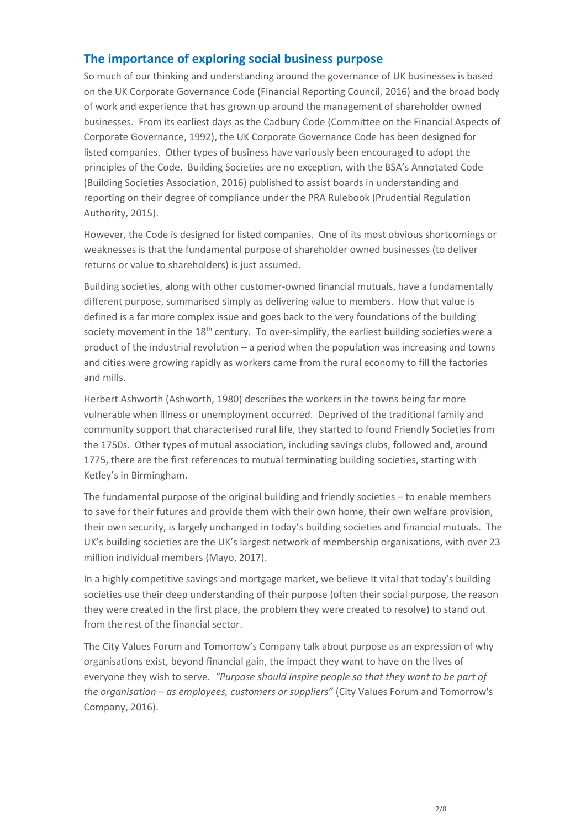### **The importance of exploring social business purpose**

So much of our thinking and understanding around the governance of UK businesses is based on the UK Corporate Governance Code (Financial Reporting Council, 2016) and the broad body of work and experience that has grown up around the management of shareholder owned businesses. From its earliest days as the Cadbury Code (Committee on the Financial Aspects of Corporate Governance, 1992), the UK Corporate Governance Code has been designed for listed companies. Other types of business have variously been encouraged to adopt the principles of the Code. Building Societies are no exception, with the BSA's Annotated Code (Building Societies Association, 2016) published to assist boards in understanding and reporting on their degree of compliance under the PRA Rulebook (Prudential Regulation Authority, 2015).

However, the Code is designed for listed companies. One of its most obvious shortcomings or weaknesses is that the fundamental purpose of shareholder owned businesses (to deliver returns or value to shareholders) is just assumed.

Building societies, along with other customer-owned financial mutuals, have a fundamentally different purpose, summarised simply as delivering value to members. How that value is defined is a far more complex issue and goes back to the very foundations of the building society movement in the 18<sup>th</sup> century. To over-simplify, the earliest building societies were a product of the industrial revolution – a period when the population was increasing and towns and cities were growing rapidly as workers came from the rural economy to fill the factories and mills.

Herbert Ashworth (Ashworth, 1980) describes the workers in the towns being far more vulnerable when illness or unemployment occurred. Deprived of the traditional family and community support that characterised rural life, they started to found Friendly Societies from the 1750s. Other types of mutual association, including savings clubs, followed and, around 1775, there are the first references to mutual terminating building societies, starting with Ketley's in Birmingham.

The fundamental purpose of the original building and friendly societies – to enable members to save for their futures and provide them with their own home, their own welfare provision, their own security, is largely unchanged in today's building societies and financial mutuals. The UK's building societies are the UK's largest network of membership organisations, with over 23 million individual members (Mayo, 2017).

In a highly competitive savings and mortgage market, we believe It vital that today's building societies use their deep understanding of their purpose (often their social purpose, the reason they were created in the first place, the problem they were created to resolve) to stand out from the rest of the financial sector.

The City Values Forum and Tomorrow's Company talk about purpose as an expression of why organisations exist, beyond financial gain, the impact they want to have on the lives of everyone they wish to serve. *"Purpose should inspire people so that they want to be part of the organisation – as employees, customers or suppliers"* (City Values Forum and Tomorrow's Company, 2016).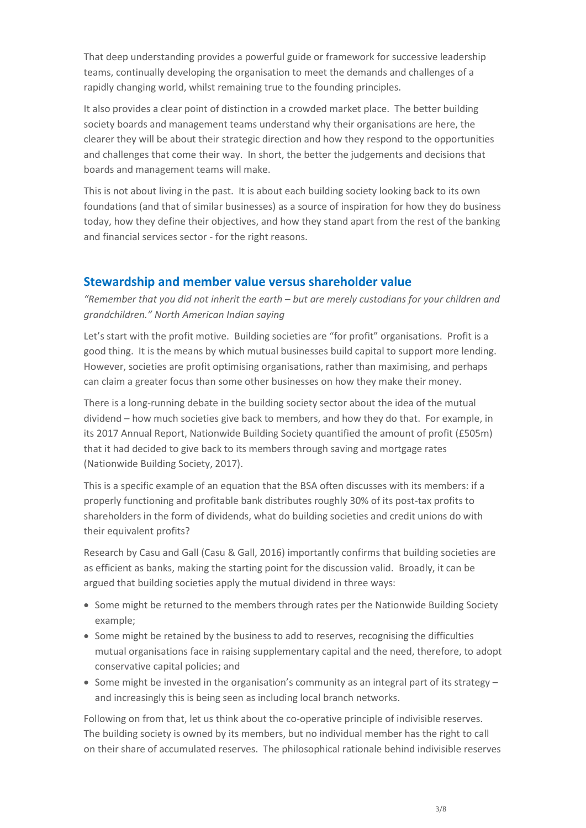That deep understanding provides a powerful guide or framework for successive leadership teams, continually developing the organisation to meet the demands and challenges of a rapidly changing world, whilst remaining true to the founding principles.

It also provides a clear point of distinction in a crowded market place. The better building society boards and management teams understand why their organisations are here, the clearer they will be about their strategic direction and how they respond to the opportunities and challenges that come their way. In short, the better the judgements and decisions that boards and management teams will make.

This is not about living in the past. It is about each building society looking back to its own foundations (and that of similar businesses) as a source of inspiration for how they do business today, how they define their objectives, and how they stand apart from the rest of the banking and financial services sector - for the right reasons.

### **Stewardship and member value versus shareholder value**

*"Remember that you did not inherit the earth – but are merely custodians for your children and grandchildren." North American Indian saying*

Let's start with the profit motive. Building societies are "for profit" organisations. Profit is a good thing. It is the means by which mutual businesses build capital to support more lending. However, societies are profit optimising organisations, rather than maximising, and perhaps can claim a greater focus than some other businesses on how they make their money.

There is a long-running debate in the building society sector about the idea of the mutual dividend – how much societies give back to members, and how they do that. For example, in its 2017 Annual Report, Nationwide Building Society quantified the amount of profit (£505m) that it had decided to give back to its members through saving and mortgage rates (Nationwide Building Society, 2017).

This is a specific example of an equation that the BSA often discusses with its members: if a properly functioning and profitable bank distributes roughly 30% of its post-tax profits to shareholders in the form of dividends, what do building societies and credit unions do with their equivalent profits?

Research by Casu and Gall (Casu & Gall, 2016) importantly confirms that building societies are as efficient as banks, making the starting point for the discussion valid. Broadly, it can be argued that building societies apply the mutual dividend in three ways:

- Some might be returned to the members through rates per the Nationwide Building Society example;
- Some might be retained by the business to add to reserves, recognising the difficulties mutual organisations face in raising supplementary capital and the need, therefore, to adopt conservative capital policies; and
- Some might be invested in the organisation's community as an integral part of its strategy  $$ and increasingly this is being seen as including local branch networks.

Following on from that, let us think about the co-operative principle of indivisible reserves. The building society is owned by its members, but no individual member has the right to call on their share of accumulated reserves. The philosophical rationale behind indivisible reserves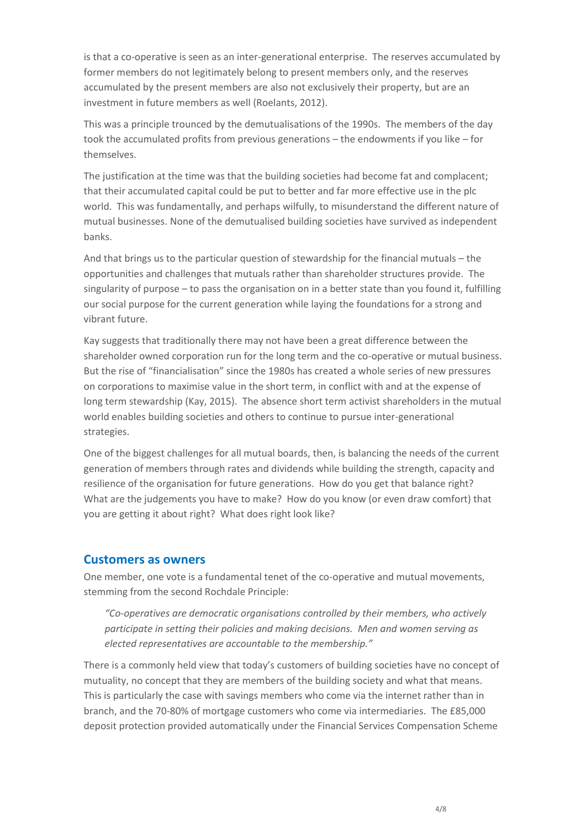is that a co-operative is seen as an inter-generational enterprise. The reserves accumulated by former members do not legitimately belong to present members only, and the reserves accumulated by the present members are also not exclusively their property, but are an investment in future members as well (Roelants, 2012).

This was a principle trounced by the demutualisations of the 1990s. The members of the day took the accumulated profits from previous generations – the endowments if you like – for themselves.

The justification at the time was that the building societies had become fat and complacent; that their accumulated capital could be put to better and far more effective use in the plc world. This was fundamentally, and perhaps wilfully, to misunderstand the different nature of mutual businesses. None of the demutualised building societies have survived as independent banks.

And that brings us to the particular question of stewardship for the financial mutuals – the opportunities and challenges that mutuals rather than shareholder structures provide. The singularity of purpose – to pass the organisation on in a better state than you found it, fulfilling our social purpose for the current generation while laying the foundations for a strong and vibrant future.

Kay suggests that traditionally there may not have been a great difference between the shareholder owned corporation run for the long term and the co-operative or mutual business. But the rise of "financialisation" since the 1980s has created a whole series of new pressures on corporations to maximise value in the short term, in conflict with and at the expense of long term stewardship (Kay, 2015). The absence short term activist shareholders in the mutual world enables building societies and others to continue to pursue inter-generational strategies.

One of the biggest challenges for all mutual boards, then, is balancing the needs of the current generation of members through rates and dividends while building the strength, capacity and resilience of the organisation for future generations. How do you get that balance right? What are the judgements you have to make? How do you know (or even draw comfort) that you are getting it about right? What does right look like?

### **Customers as owners**

One member, one vote is a fundamental tenet of the co-operative and mutual movements, stemming from the second Rochdale Principle:

*"Co-operatives are democratic organisations controlled by their members, who actively participate in setting their policies and making decisions. Men and women serving as elected representatives are accountable to the membership."*

There is a commonly held view that today's customers of building societies have no concept of mutuality, no concept that they are members of the building society and what that means. This is particularly the case with savings members who come via the internet rather than in branch, and the 70-80% of mortgage customers who come via intermediaries. The £85,000 deposit protection provided automatically under the Financial Services Compensation Scheme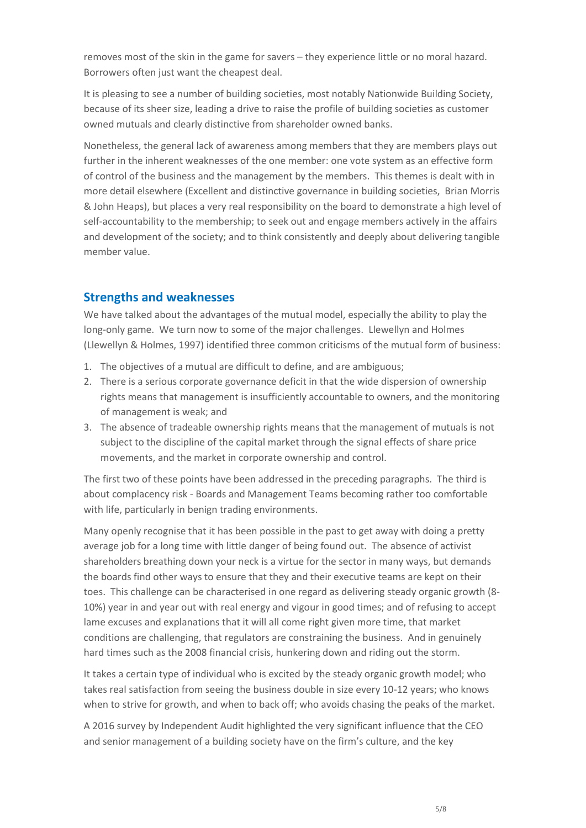removes most of the skin in the game for savers – they experience little or no moral hazard. Borrowers often just want the cheapest deal.

It is pleasing to see a number of building societies, most notably Nationwide Building Society, because of its sheer size, leading a drive to raise the profile of building societies as customer owned mutuals and clearly distinctive from shareholder owned banks.

Nonetheless, the general lack of awareness among members that they are members plays out further in the inherent weaknesses of the one member: one vote system as an effective form of control of the business and the management by the members. This themes is dealt with in more detail elsewhere (Excellent and distinctive governance in building societies, Brian Morris & John Heaps), but places a very real responsibility on the board to demonstrate a high level of self-accountability to the membership; to seek out and engage members actively in the affairs and development of the society; and to think consistently and deeply about delivering tangible member value.

# **Strengths and weaknesses**

We have talked about the advantages of the mutual model, especially the ability to play the long-only game. We turn now to some of the major challenges. Llewellyn and Holmes (Llewellyn & Holmes, 1997) identified three common criticisms of the mutual form of business:

- 1. The objectives of a mutual are difficult to define, and are ambiguous;
- 2. There is a serious corporate governance deficit in that the wide dispersion of ownership rights means that management is insufficiently accountable to owners, and the monitoring of management is weak; and
- 3. The absence of tradeable ownership rights means that the management of mutuals is not subject to the discipline of the capital market through the signal effects of share price movements, and the market in corporate ownership and control.

The first two of these points have been addressed in the preceding paragraphs. The third is about complacency risk - Boards and Management Teams becoming rather too comfortable with life, particularly in benign trading environments.

Many openly recognise that it has been possible in the past to get away with doing a pretty average job for a long time with little danger of being found out. The absence of activist shareholders breathing down your neck is a virtue for the sector in many ways, but demands the boards find other ways to ensure that they and their executive teams are kept on their toes. This challenge can be characterised in one regard as delivering steady organic growth (8- 10%) year in and year out with real energy and vigour in good times; and of refusing to accept lame excuses and explanations that it will all come right given more time, that market conditions are challenging, that regulators are constraining the business. And in genuinely hard times such as the 2008 financial crisis, hunkering down and riding out the storm.

It takes a certain type of individual who is excited by the steady organic growth model; who takes real satisfaction from seeing the business double in size every 10-12 years; who knows when to strive for growth, and when to back off; who avoids chasing the peaks of the market.

A 2016 survey by Independent Audit highlighted the very significant influence that the CEO and senior management of a building society have on the firm's culture, and the key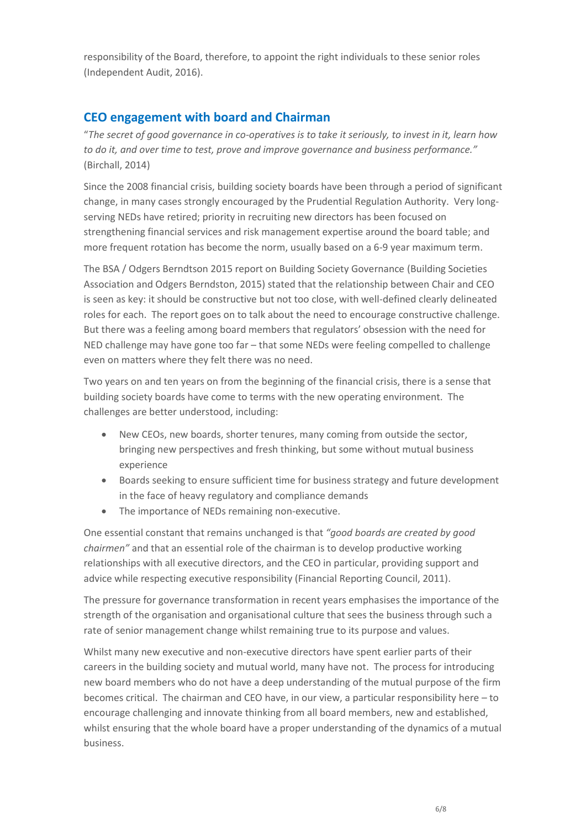responsibility of the Board, therefore, to appoint the right individuals to these senior roles (Independent Audit, 2016).

# **CEO engagement with board and Chairman**

"*The secret of good governance in co-operatives is to take it seriously, to invest in it, learn how to do it, and over time to test, prove and improve governance and business performance."* (Birchall, 2014)

Since the 2008 financial crisis, building society boards have been through a period of significant change, in many cases strongly encouraged by the Prudential Regulation Authority. Very longserving NEDs have retired; priority in recruiting new directors has been focused on strengthening financial services and risk management expertise around the board table; and more frequent rotation has become the norm, usually based on a 6-9 year maximum term.

The BSA / Odgers Berndtson 2015 report on Building Society Governance (Building Societies Association and Odgers Berndston, 2015) stated that the relationship between Chair and CEO is seen as key: it should be constructive but not too close, with well-defined clearly delineated roles for each. The report goes on to talk about the need to encourage constructive challenge. But there was a feeling among board members that regulators' obsession with the need for NED challenge may have gone too far – that some NEDs were feeling compelled to challenge even on matters where they felt there was no need.

Two years on and ten years on from the beginning of the financial crisis, there is a sense that building society boards have come to terms with the new operating environment. The challenges are better understood, including:

- New CEOs, new boards, shorter tenures, many coming from outside the sector, bringing new perspectives and fresh thinking, but some without mutual business experience
- Boards seeking to ensure sufficient time for business strategy and future development in the face of heavy regulatory and compliance demands
- The importance of NEDs remaining non-executive.

One essential constant that remains unchanged is that *"good boards are created by good chairmen"* and that an essential role of the chairman is to develop productive working relationships with all executive directors, and the CEO in particular, providing support and advice while respecting executive responsibility (Financial Reporting Council, 2011).

The pressure for governance transformation in recent years emphasises the importance of the strength of the organisation and organisational culture that sees the business through such a rate of senior management change whilst remaining true to its purpose and values.

Whilst many new executive and non-executive directors have spent earlier parts of their careers in the building society and mutual world, many have not. The process for introducing new board members who do not have a deep understanding of the mutual purpose of the firm becomes critical. The chairman and CEO have, in our view, a particular responsibility here – to encourage challenging and innovate thinking from all board members, new and established, whilst ensuring that the whole board have a proper understanding of the dynamics of a mutual business.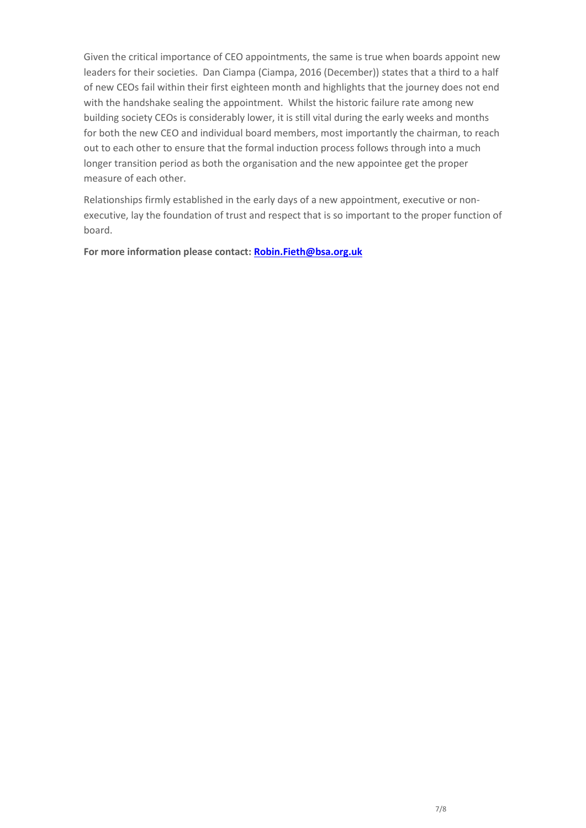Given the critical importance of CEO appointments, the same is true when boards appoint new leaders for their societies. Dan Ciampa (Ciampa, 2016 (December)) states that a third to a half of new CEOs fail within their first eighteen month and highlights that the journey does not end with the handshake sealing the appointment. Whilst the historic failure rate among new building society CEOs is considerably lower, it is still vital during the early weeks and months for both the new CEO and individual board members, most importantly the chairman, to reach out to each other to ensure that the formal induction process follows through into a much longer transition period as both the organisation and the new appointee get the proper measure of each other.

Relationships firmly established in the early days of a new appointment, executive or nonexecutive, lay the foundation of trust and respect that is so important to the proper function of board.

**For more information please contact: [Robin.Fieth@bsa.org.uk](mailto:Robin.Fieth@bsa.org.uk)**